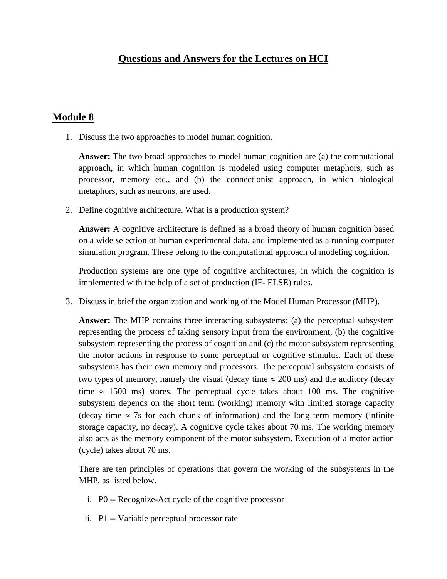## **Module 8**

1. Discuss the two approaches to model human cognition.

**Answer:** The two broad approaches to model human cognition are (a) the computational approach, in which human cognition is modeled using computer metaphors, such as processor, memory etc., and (b) the connectionist approach, in which biological metaphors, such as neurons, are used.

2. Define cognitive architecture. What is a production system?

**Answer:** A cognitive architecture is defined as a broad theory of human cognition based on a wide selection of human experimental data, and implemented as a running computer simulation program. These belong to the computational approach of modeling cognition.

Production systems are one type of cognitive architectures, in which the cognition is implemented with the help of a set of production (IF- ELSE) rules.

3. Discuss in brief the organization and working of the Model Human Processor (MHP).

**Answer:** The MHP contains three interacting subsystems: (a) the perceptual subsystem representing the process of taking sensory input from the environment, (b) the cognitive subsystem representing the process of cognition and (c) the motor subsystem representing the motor actions in response to some perceptual or cognitive stimulus. Each of these subsystems has their own memory and processors. The perceptual subsystem consists of two types of memory, namely the visual (decay time  $\approx 200$  ms) and the auditory (decay time  $\approx$  1500 ms) stores. The perceptual cycle takes about 100 ms. The cognitive subsystem depends on the short term (working) memory with limited storage capacity (decay time  $\approx$  7s for each chunk of information) and the long term memory (infinite storage capacity, no decay). A cognitive cycle takes about 70 ms. The working memory also acts as the memory component of the motor subsystem. Execution of a motor action (cycle) takes about 70 ms.

There are ten principles of operations that govern the working of the subsystems in the MHP, as listed below.

- i. P0 -- Recognize-Act cycle of the cognitive processor
- ii. P1 -- Variable perceptual processor rate